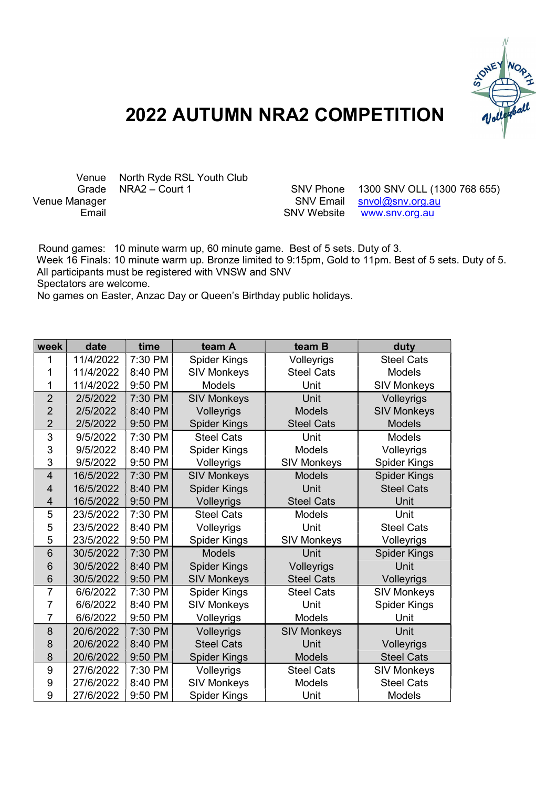

## 2022 AUTUMN NRA2 COMPETITION

Venue North Ryde RSL Youth Club<br>Grade NRA2 - Court 1

Grade NRA2 – Court 1 SNV Phone 1300 SNV OLL (1300 768 655)<br>SNV Email snyol@sny.org.au  $s$ nvol@snv.org.au Email **Email** SNV Website www.snv.org.au

 Round games: 10 minute warm up, 60 minute game. Best of 5 sets. Duty of 3. Week 16 Finals: 10 minute warm up. Bronze limited to 9:15pm, Gold to 11pm. Best of 5 sets. Duty of 5. All participants must be registered with VNSW and SNV Spectators are welcome.

No games on Easter, Anzac Day or Queen's Birthday public holidays.

| week                    | date      | time    | team A              | team B             | duty                |
|-------------------------|-----------|---------|---------------------|--------------------|---------------------|
| 1                       | 11/4/2022 | 7:30 PM | <b>Spider Kings</b> | Volleyrigs         | <b>Steel Cats</b>   |
| 1                       | 11/4/2022 | 8:40 PM | <b>SIV Monkeys</b>  | <b>Steel Cats</b>  | <b>Models</b>       |
| 1                       | 11/4/2022 | 9:50 PM | <b>Models</b>       | Unit               | <b>SIV Monkeys</b>  |
| $\overline{2}$          | 2/5/2022  | 7:30 PM | <b>SIV Monkeys</b>  | Unit               | Volleyrigs          |
| $\overline{2}$          | 2/5/2022  | 8:40 PM | Volleyrigs          | <b>Models</b>      | <b>SIV Monkeys</b>  |
| $\overline{2}$          | 2/5/2022  | 9:50 PM | <b>Spider Kings</b> | <b>Steel Cats</b>  | <b>Models</b>       |
| 3                       | 9/5/2022  | 7:30 PM | <b>Steel Cats</b>   | Unit               | <b>Models</b>       |
| 3                       | 9/5/2022  | 8:40 PM | <b>Spider Kings</b> | Models             | Volleyrigs          |
| 3                       | 9/5/2022  | 9:50 PM | Volleyrigs          | <b>SIV Monkeys</b> | <b>Spider Kings</b> |
| $\overline{4}$          | 16/5/2022 | 7:30 PM | <b>SIV Monkeys</b>  | <b>Models</b>      | <b>Spider Kings</b> |
| $\overline{4}$          | 16/5/2022 | 8:40 PM | <b>Spider Kings</b> | Unit               | <b>Steel Cats</b>   |
| $\overline{\mathbf{4}}$ | 16/5/2022 | 9:50 PM | Volleyrigs          | <b>Steel Cats</b>  | Unit                |
| 5                       | 23/5/2022 | 7:30 PM | <b>Steel Cats</b>   | <b>Models</b>      | Unit                |
| 5                       | 23/5/2022 | 8:40 PM | Volleyrigs          | Unit               | <b>Steel Cats</b>   |
| 5                       | 23/5/2022 | 9:50 PM | <b>Spider Kings</b> | <b>SIV Monkeys</b> | Volleyrigs          |
| 6                       | 30/5/2022 | 7:30 PM | <b>Models</b>       | Unit               | <b>Spider Kings</b> |
| 6                       | 30/5/2022 | 8:40 PM | <b>Spider Kings</b> | Volleyrigs         | Unit                |
| 6                       | 30/5/2022 | 9:50 PM | <b>SIV Monkeys</b>  | <b>Steel Cats</b>  | Volleyrigs          |
| $\overline{7}$          | 6/6/2022  | 7:30 PM | <b>Spider Kings</b> | <b>Steel Cats</b>  | <b>SIV Monkeys</b>  |
| 7                       | 6/6/2022  | 8:40 PM | <b>SIV Monkeys</b>  | Unit               | <b>Spider Kings</b> |
| $\overline{7}$          | 6/6/2022  | 9:50 PM | Volleyrigs          | <b>Models</b>      | Unit                |
| 8                       | 20/6/2022 | 7:30 PM | Volleyrigs          | <b>SIV Monkeys</b> | Unit                |
| 8                       | 20/6/2022 | 8:40 PM | <b>Steel Cats</b>   | Unit               | Volleyrigs          |
| 8                       | 20/6/2022 | 9:50 PM | <b>Spider Kings</b> | <b>Models</b>      | <b>Steel Cats</b>   |
| 9                       | 27/6/2022 | 7:30 PM | Volleyrigs          | <b>Steel Cats</b>  | <b>SIV Monkeys</b>  |
| 9                       | 27/6/2022 | 8:40 PM | <b>SIV Monkeys</b>  | <b>Models</b>      | <b>Steel Cats</b>   |
| 9                       | 27/6/2022 | 9:50 PM | <b>Spider Kings</b> | Unit               | Models              |